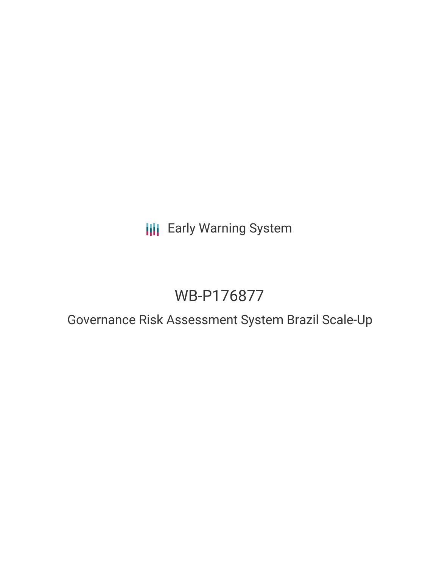**III** Early Warning System

# WB-P176877

Governance Risk Assessment System Brazil Scale-Up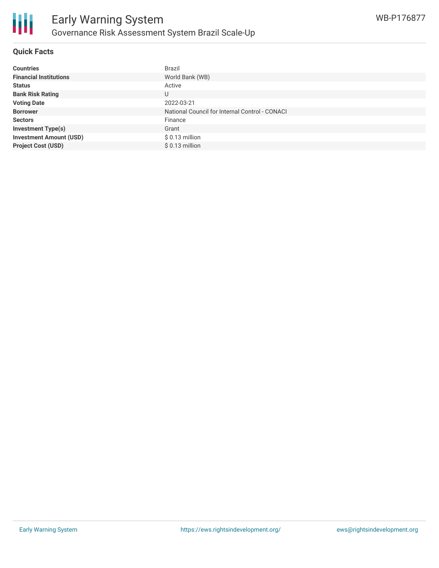

## **Quick Facts**

| <b>Countries</b>               | <b>Brazil</b>                                  |
|--------------------------------|------------------------------------------------|
| <b>Financial Institutions</b>  | World Bank (WB)                                |
| <b>Status</b>                  | Active                                         |
| <b>Bank Risk Rating</b>        | U                                              |
| <b>Voting Date</b>             | 2022-03-21                                     |
| <b>Borrower</b>                | National Council for Internal Control - CONACI |
| <b>Sectors</b>                 | Finance                                        |
| <b>Investment Type(s)</b>      | Grant                                          |
| <b>Investment Amount (USD)</b> | $$0.13$ million                                |
| <b>Project Cost (USD)</b>      | $$0.13$ million                                |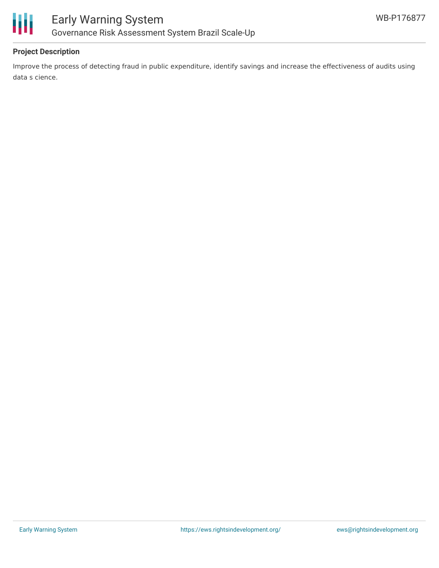

# **Project Description**

Improve the process of detecting fraud in public expenditure, identify savings and increase the effectiveness of audits using data s cience.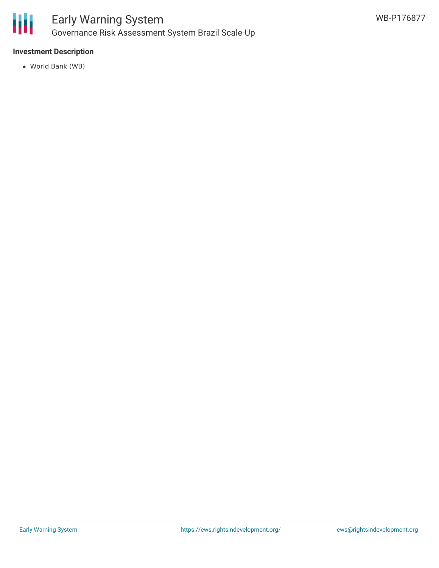

## **Investment Description**

World Bank (WB)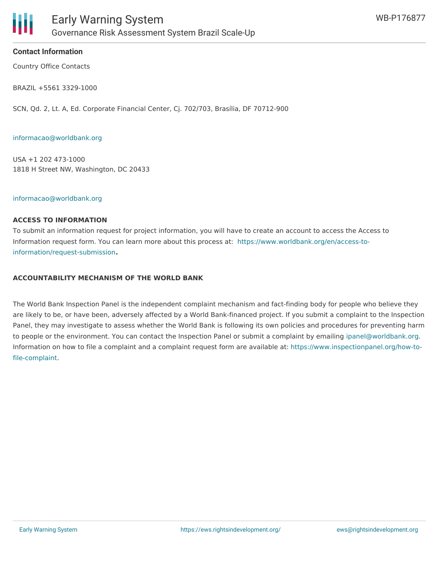

## **Contact Information**

Country Office Contacts

BRAZIL +5561 3329-1000

SCN, Qd. 2, Lt. A, Ed. Corporate Financial Center, Cj. 702/703, Brasília, DF 70712-900

#### [informacao@worldbank.org](mailto:informacao@worldbank.org )

USA +1 202 473-1000 1818 H Street NW, Washington, DC 20433

#### [informacao@worldbank.org](mailto:informacao@worldbank.org )

#### **ACCESS TO INFORMATION**

To submit an information request for project information, you will have to create an account to access the Access to Information request form. You can learn more about this process at: [https://www.worldbank.org/en/access-to](https://www.worldbank.org/en/access-to-information/request-submission)information/request-submission**.**

## **ACCOUNTABILITY MECHANISM OF THE WORLD BANK**

The World Bank Inspection Panel is the independent complaint mechanism and fact-finding body for people who believe they are likely to be, or have been, adversely affected by a World Bank-financed project. If you submit a complaint to the Inspection Panel, they may investigate to assess whether the World Bank is following its own policies and procedures for preventing harm to people or the environment. You can contact the Inspection Panel or submit a complaint by emailing [ipanel@worldbank.org.](mailto:ipanel@worldbank.org) Information on how to file a complaint and a complaint request form are available at: [https://www.inspectionpanel.org/how-to](https://www.inspectionpanel.org/how-to-file-complaint)file-complaint.